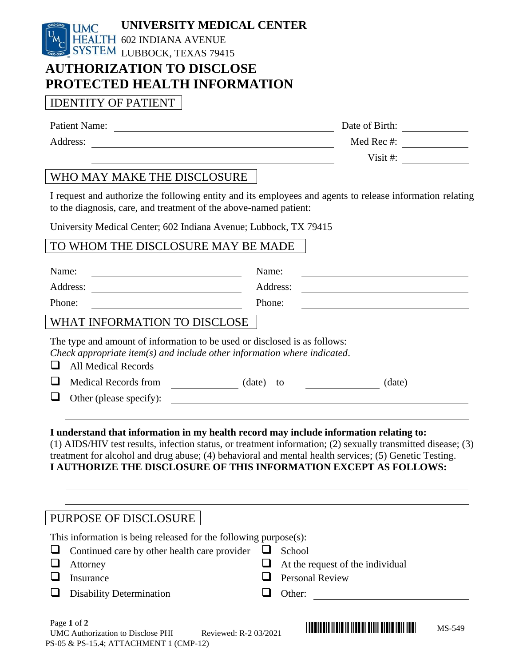

## **AUTHORIZATION TO DISCLOSE PROTECTED HEALTH INFORMATION**

## IDENTITY OF PATIENT

| Address:                                                                                                                                                                                                                                                                                                      | Med Rec #: $\_\_\_\_\_\_\_\_\_\_\_\_\_\_$                                                                                                                                                                                                      |  |  |
|---------------------------------------------------------------------------------------------------------------------------------------------------------------------------------------------------------------------------------------------------------------------------------------------------------------|------------------------------------------------------------------------------------------------------------------------------------------------------------------------------------------------------------------------------------------------|--|--|
|                                                                                                                                                                                                                                                                                                               | Visit #: $\qquad \qquad$                                                                                                                                                                                                                       |  |  |
| WHO MAY MAKE THE DISCLOSURE                                                                                                                                                                                                                                                                                   |                                                                                                                                                                                                                                                |  |  |
| to the diagnosis, care, and treatment of the above-named patient:                                                                                                                                                                                                                                             | I request and authorize the following entity and its employees and agents to release information relating                                                                                                                                      |  |  |
| University Medical Center; 602 Indiana Avenue; Lubbock, TX 79415                                                                                                                                                                                                                                              |                                                                                                                                                                                                                                                |  |  |
| TO WHOM THE DISCLOSURE MAY BE MADE                                                                                                                                                                                                                                                                            |                                                                                                                                                                                                                                                |  |  |
| Name:                                                                                                                                                                                                                                                                                                         | Name:                                                                                                                                                                                                                                          |  |  |
| Address:                                                                                                                                                                                                                                                                                                      | Address:                                                                                                                                                                                                                                       |  |  |
| Phone:                                                                                                                                                                                                                                                                                                        | Phone:                                                                                                                                                                                                                                         |  |  |
| WHAT INFORMATION TO DISCLOSE                                                                                                                                                                                                                                                                                  |                                                                                                                                                                                                                                                |  |  |
| The type and amount of information to be used or disclosed is as follows:<br>Check appropriate item(s) and include other information where indicated.<br>⊔<br><b>All Medical Records</b><br>Other (please specify):<br>I understand that information in my health record may include information relating to: | (date)<br><u> 1989 - Jan Samuel Barbara, martin da shekara 1989 - An tsara 1989 - An tsara 1989 - An tsara 1989 - An tsara</u><br>(1) AIDS/HIV test results, infection status, or treatment information; (2) sexually transmitted disease; (3) |  |  |
| I AUTHORIZE THE DISCLOSURE OF THIS INFORMATION EXCEPT AS FOLLOWS:                                                                                                                                                                                                                                             | treatment for alcohol and drug abuse; (4) behavioral and mental health services; (5) Genetic Testing.                                                                                                                                          |  |  |
| PURPOSE OF DISCLOSURE                                                                                                                                                                                                                                                                                         |                                                                                                                                                                                                                                                |  |  |
| This information is being released for the following purpose $(s)$ :<br>Continued care by other health care provider<br>Attorney<br>Insurance                                                                                                                                                                 | School<br>⊔<br>At the request of the individual<br><b>Personal Review</b>                                                                                                                                                                      |  |  |

- ❑ Disability Determination ❑ Other:
	-